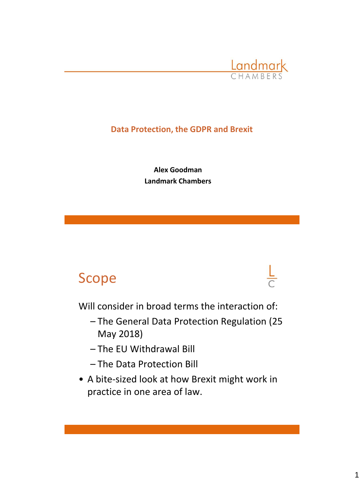

## **Data Protection, the GDPR and Brexit**

**Alex Goodman Landmark Chambers**

# Scope



Will consider in broad terms the interaction of:

- The General Data Protection Regulation (25 May 2018)
- The EU Withdrawal Bill
- The Data Protection Bill
- A bite-sized look at how Brexit might work in practice in one area of law.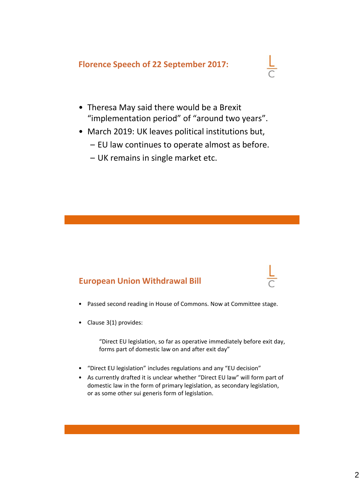#### **Florence Speech of 22 September 2017:**



- Theresa May said there would be a Brexit "implementation period" of "around two years".
- March 2019: UK leaves political institutions but,
	- EU law continues to operate almost as before.
	- UK remains in single market etc.

#### **European Union Withdrawal Bill**

- Passed second reading in House of Commons. Now at Committee stage.
- Clause 3(1) provides:

"Direct EU legislation, so far as operative immediately before exit day, forms part of domestic law on and after exit day"

- "Direct EU legislation" includes regulations and any "EU decision"
- As currently drafted it is unclear whether "Direct EU law" will form part of domestic law in the form of primary legislation, as secondary legislation, or as some other sui generis form of legislation.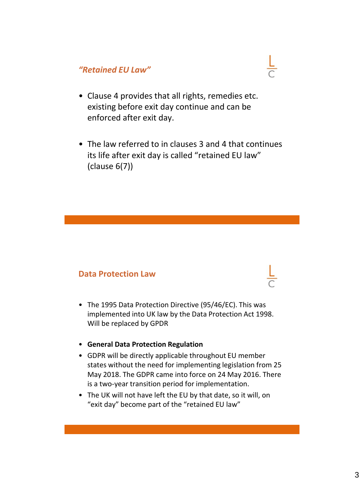## *"Retained EU Law"*



• The law referred to in clauses 3 and 4 that continues its life after exit day is called "retained EU law" (clause 6(7))

#### **Data Protection Law**

- The 1995 Data Protection Directive (95/46/EC). This was implemented into UK law by the Data Protection Act 1998. Will be replaced by GPDR
- **General Data Protection Regulation**
- GDPR will be directly applicable throughout EU member states without the need for implementing legislation from 25 May 2018. The GDPR came into force on 24 May 2016. There is a two-year transition period for implementation.
- The UK will not have left the EU by that date, so it will, on "exit day" become part of the "retained EU law"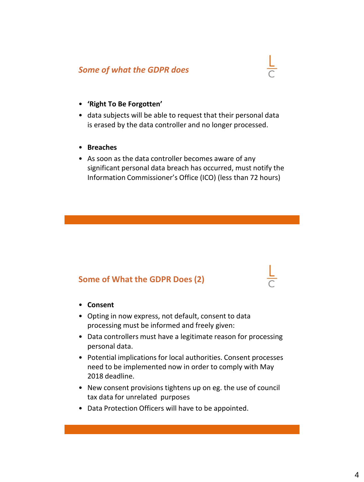#### *Some of what the GDPR does*



- data subjects will be able to request that their personal data is erased by the data controller and no longer processed.
- **Breaches**
- As soon as the data controller becomes aware of any significant personal data breach has occurred, must notify the Information Commissioner's Office (ICO) (less than 72 hours)

#### **Some of What the GDPR Does (2)**

- **Consent**
- Opting in now express, not default, consent to data processing must be informed and freely given:
- Data controllers must have a legitimate reason for processing personal data.
- Potential implications for local authorities. Consent processes need to be implemented now in order to comply with May 2018 deadline.
- New consent provisions tightens up on eg. the use of council tax data for unrelated purposes
- Data Protection Officers will have to be appointed.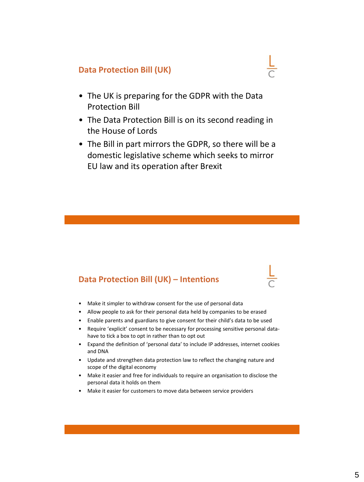#### **Data Protection Bill (UK)**

- The UK is preparing for the GDPR with the Data Protection Bill
- The Data Protection Bill is on its second reading in the House of Lords
- The Bill in part mirrors the GDPR, so there will be a domestic legislative scheme which seeks to mirror EU law and its operation after Brexit

#### **Data Protection Bill (UK) – Intentions**

- Make it simpler to withdraw consent for the use of personal data
- Allow people to ask for their personal data held by companies to be erased
- Enable parents and guardians to give consent for their child's data to be used
- Require 'explicit' consent to be necessary for processing sensitive personal datahave to tick a box to opt in rather than to opt out
- Expand the definition of 'personal data' to include IP addresses, internet cookies and DNA
- Update and strengthen data protection law to reflect the changing nature and scope of the digital economy
- Make it easier and free for individuals to require an organisation to disclose the personal data it holds on them
- Make it easier for customers to move data between service providers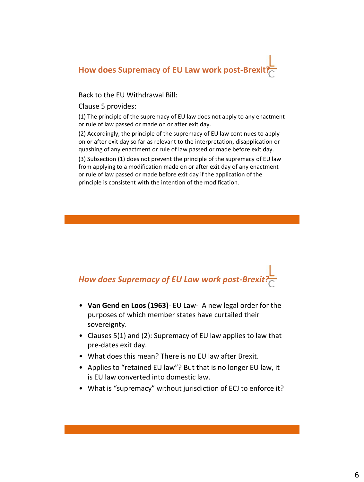

Back to the EU Withdrawal Bill:

Clause 5 provides:

(1) The principle of the supremacy of EU law does not apply to any enactment or rule of law passed or made on or after exit day.

(2) Accordingly, the principle of the supremacy of EU law continues to apply on or after exit day so far as relevant to the interpretation, disapplication or quashing of any enactment or rule of law passed or made before exit day.

(3) Subsection (1) does not prevent the principle of the supremacy of EU law from applying to a modification made on or after exit day of any enactment or rule of law passed or made before exit day if the application of the principle is consistent with the intention of the modification.



- **Van Gend en Loos (1963)** EU Law- A new legal order for the purposes of which member states have curtailed their sovereignty.
- Clauses 5(1) and (2): Supremacy of EU law applies to law that pre-dates exit day.
- What does this mean? There is no EU law after Brexit.
- Applies to "retained EU law"? But that is no longer EU law, it is EU law converted into domestic law.
- What is "supremacy" without jurisdiction of ECJ to enforce it?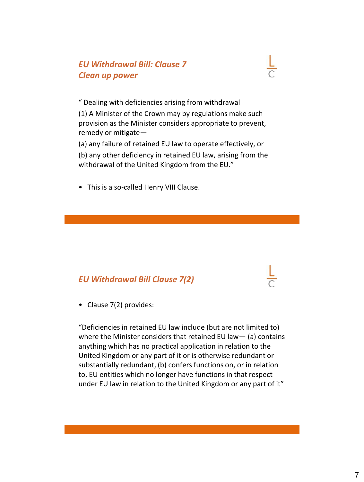## *EU Withdrawal Bill: Clause 7 Clean up power*



(a) any failure of retained EU law to operate effectively, or (b) any other deficiency in retained EU law, arising from the withdrawal of the United Kingdom from the EU."

• This is a so-called Henry VIII Clause.

## *EU Withdrawal Bill Clause 7(2)*

• Clause 7(2) provides:

"Deficiencies in retained EU law include (but are not limited to) where the Minister considers that retained EU law— (a) contains anything which has no practical application in relation to the United Kingdom or any part of it or is otherwise redundant or substantially redundant, (b) confers functions on, or in relation to, EU entities which no longer have functions in that respect under EU law in relation to the United Kingdom or any part of it"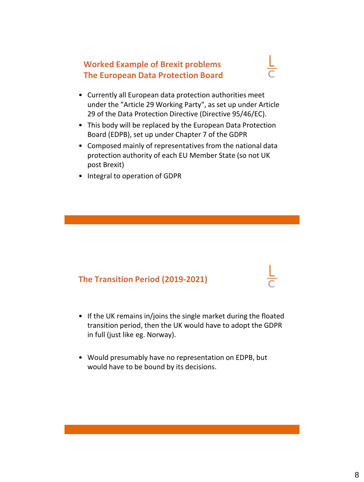## **Worked Example of Brexit problems The European Data Protection Board**



- Currently all European data protection authorities meet under the "Article 29 Working Party", as set up under Article 29 of the Data Protection Directive (Directive 95/46/EC).
- This body will be replaced by the European Data Protection Board (EDPB), set up under Chapter 7 of the GDPR
- Composed mainly of representatives from the national data protection authority of each EU Member State (so not UK post Brexit)
- Integral to operation of GDPR

## **The Transition Period (2019-2021)**

- If the UK remains in/joins the single market during the floated transition period, then the UK would have to adopt the GDPR in full (just like eg. Norway).
- Would presumably have no representation on EDPB, but would have to be bound by its decisions.